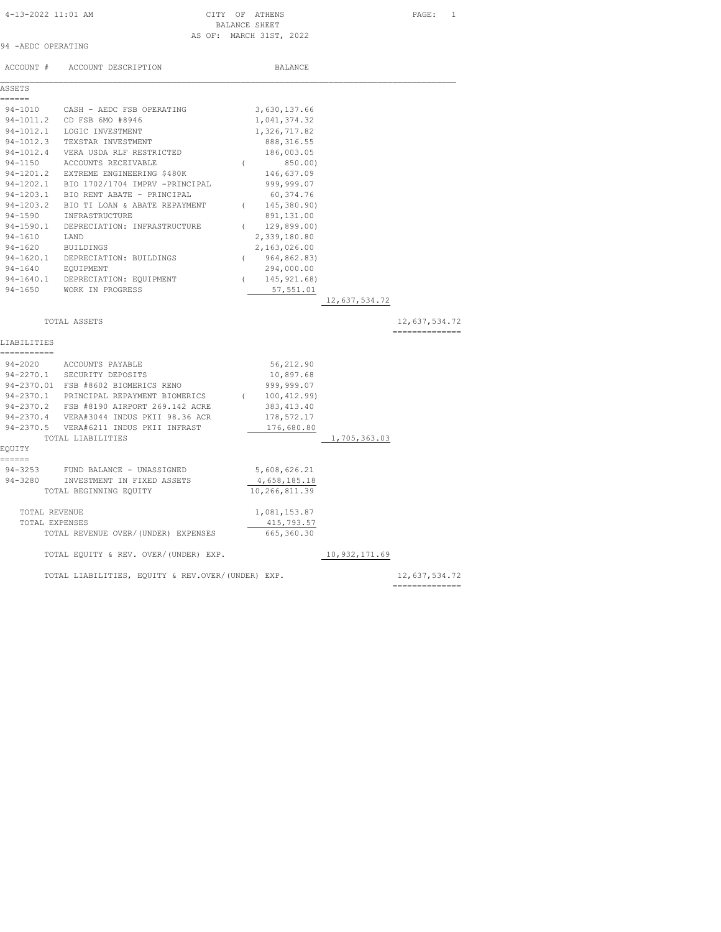### BALANCE SHEET AS OF: MARCH 31ST, 2022

|  | 94 - AEDC OPERATING |
|--|---------------------|

|              | ACCOUNT # ACCOUNT DESCRIPTION                     |          | BALANCE        |               |                |
|--------------|---------------------------------------------------|----------|----------------|---------------|----------------|
| ASSETS       |                                                   |          |                |               |                |
| ======       |                                                   |          |                |               |                |
|              | 94-1010 CASH - AEDC FSB OPERATING                 |          | 3,630,137.66   |               |                |
|              | 94-1011.2 CD FSB 6MO #8946                        |          | 1,041,374.32   |               |                |
|              | 94-1012.1 LOGIC INVESTMENT                        |          | 1,326,717.82   |               |                |
|              | 94-1012.3 TEXSTAR INVESTMENT                      |          | 888, 316.55    |               |                |
|              | 94-1012.4 VERA USDA RLF RESTRICTED                |          | 186,003.05     |               |                |
|              | 94-1150 ACCOUNTS RECEIVABLE                       | $\left($ | 850.00)        |               |                |
|              | 94-1201.2 EXTREME ENGINEERING \$480K              |          | 146,637.09     |               |                |
|              | 94-1202.1 BIO 1702/1704 IMPRV -PRINCIPAL          |          | 999,999.07     |               |                |
|              | 94-1203.1 BIO RENT ABATE - PRINCIPAL              |          | 60,374.76      |               |                |
|              | 94-1203.2 BIO TI LOAN & ABATE REPAYMENT           |          | (145, 380.90)  |               |                |
|              | 94-1590 INFRASTRUCTURE                            |          | 891,131.00     |               |                |
|              | 94-1590.1 DEPRECIATION: INFRASTRUCTURE            | $\left($ | 129,899.00)    |               |                |
| 94-1610 LAND |                                                   |          | 2,339,180.80   |               |                |
| 94-1620      | BUILDINGS                                         |          | 2,163,026.00   |               |                |
|              | 94-1620.1 DEPRECIATION: BUILDINGS                 |          | (964, 862.83)  |               |                |
|              | 94-1640 EQUIPMENT                                 |          | 294,000.00     |               |                |
|              | 94-1640.1 DEPRECIATION: EQUIPMENT                 |          | (145, 921, 68) |               |                |
|              | 94-1650 WORK IN PROGRESS                          |          | 57,551.01      |               |                |
|              |                                                   |          |                | 12,637,534.72 |                |
|              |                                                   |          |                |               |                |
|              | TOTAL ASSETS                                      |          |                |               | 12,637,534.72  |
|              |                                                   |          |                |               | ============== |
| LIABILITIES  |                                                   |          |                |               |                |
| ===========  |                                                   |          |                |               |                |
|              | 94-2020 ACCOUNTS PAYABLE                          |          | 56,212.90      |               |                |
|              | 94-2270.1 SECURITY DEPOSITS                       |          | 10,897.68      |               |                |
|              | 94-2370.01 FSB #8602 BIOMERICS RENO               |          | 999,999.07     |               |                |
|              | 94-2370.1 PRINCIPAL REPAYMENT BIOMERICS           |          | (100, 412, 99) |               |                |
|              | 94-2370.2 FSB #8190 AIRPORT 269.142 ACRE          |          | 383, 413.40    |               |                |
|              | 94-2370.4 VERA#3044 INDUS PKII 98.36 ACR          |          | 178,572.17     |               |                |
|              | 94-2370.5 VERA#6211 INDUS PKII INFRAST            |          | 176,680.80     |               |                |
|              | TOTAL LIABILITIES                                 |          |                | 1,705,363.03  |                |
| EQUITY       |                                                   |          |                |               |                |
| ======       |                                                   |          |                |               |                |
| $94 - 3253$  | FUND BALANCE - UNASSIGNED                         |          | 5,608,626.21   |               |                |
|              | 94-3280 INVESTMENT IN FIXED ASSETS                |          | 4,658,185.18   |               |                |
|              | TOTAL BEGINNING EQUITY                            |          | 10,266,811.39  |               |                |
|              |                                                   |          |                |               |                |
|              | TOTAL REVENUE                                     |          | 1,081,153.87   |               |                |
|              | TOTAL EXPENSES                                    |          | 415,793.57     |               |                |
|              | TOTAL REVENUE OVER/(UNDER) EXPENSES               |          | 665,360.30     |               |                |
|              |                                                   |          |                |               |                |
|              | TOTAL EQUITY & REV. OVER/(UNDER) EXP.             |          |                | 10,932,171.69 |                |
|              |                                                   |          |                |               |                |
|              | TOTAL LIABILITIES, EQUITY & REV.OVER/(UNDER) EXP. |          |                |               | 12,637,534.72  |
|              |                                                   |          |                |               | ============== |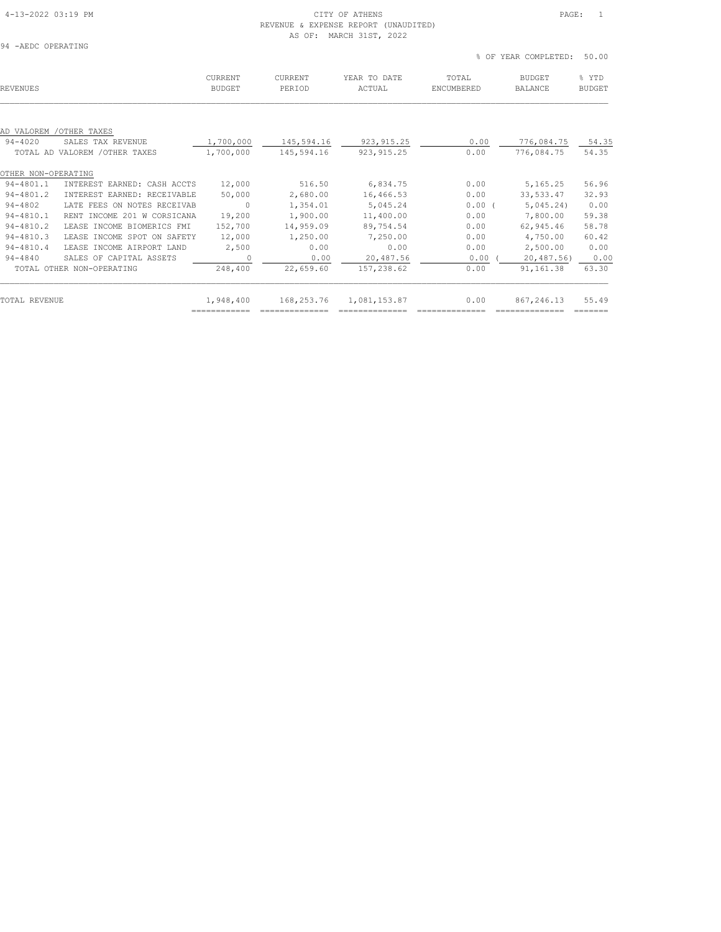# 4-13-2022 03:19 PM CITY OF ATHENS PAGE: 1

|                           |                                   |                          | AS OF:            | REVENUE & EXPENSE REPORT (UNAUDITED)<br>MARCH 31ST, 2022 |                     |                                 |                        |
|---------------------------|-----------------------------------|--------------------------|-------------------|----------------------------------------------------------|---------------------|---------------------------------|------------------------|
| 94 - AEDC OPERATING       |                                   |                          |                   |                                                          | % OF                | YEAR COMPLETED:                 | 50.00                  |
| REVENUES                  |                                   | CURRENT<br><b>BUDGET</b> | CURRENT<br>PERIOD | YEAR TO DATE<br>ACTUAL                                   | TOTAL<br>ENCUMBERED | <b>BUDGET</b><br><b>BALANCE</b> | % YTD<br><b>BUDGET</b> |
| AD VALOREM<br>$94 - 4020$ | /OTHER TAXES<br>SALES TAX REVENUE | 1,700,000                | 145,594.16        | 923, 915.25                                              | 0.00                | 776,084.75                      | 54.35                  |
|                           | TOTAL AD VALOREM / OTHER TAXES    | 1,700,000                | 145,594.16        | 923, 915.25                                              | 0.00                | 776,084.75                      | 54.35                  |
| OTHER NON-OPERATING       |                                   |                          |                   |                                                          |                     |                                 |                        |
| 94-4801.1                 | INTEREST EARNED: CASH ACCTS       | 12,000                   | 516.50            | 6,834.75                                                 | 0.00                | 5,165.25                        | 56.96                  |
| $94 - 4801.2$             | INTEREST EARNED: RECEIVABLE       | 50,000                   | 2,680.00          | 16,466.53                                                | 0.00                | 33, 533.47                      | 32.93                  |
| $94 - 4802$               | LATE FEES ON NOTES RECEIVAB       | $\circ$                  | 1,354.01          | 5,045.24                                                 | 0.00(               | 5,045.24                        | 0.00                   |
| $94 - 4810.1$             | RENT INCOME 201 W CORSICANA       | 19,200                   | 1,900.00          | 11,400.00                                                | 0.00                | 7,800.00                        | 59.38                  |
| $94 - 4810.2$             | LEASE INCOME BIOMERICS FMI        | 152,700                  | 14,959.09         | 89,754.54                                                | 0.00                | 62,945.46                       | 58.78                  |
|                           |                                   |                          |                   |                                                          |                     |                                 |                        |

| TOTAL REVENUE |                           | 1,948,400 | 168,253.76 | 1,081,153.87 | 0.00 | 867,246.13 | 55.49 |
|---------------|---------------------------|-----------|------------|--------------|------|------------|-------|
|               | TOTAL OTHER NON-OPERATING | 248,400   | 22,659.60  | 157,238.62   | 0.00 | 91,161.38  | 63.30 |
| $94 - 4840$   | SALES OF CAPITAL ASSETS   |           | 0.00       | 20,487.56    | 0.00 | 20,487.56) | 0.00  |
| 94-4810.4     | LEASE INCOME AIRPORT LAND | 2,500     | 0.00       | 0.00         | 0.00 | 2,500.00   | 0.00  |

94-4810.3 LEASE INCOME SPOT ON SAFETY 12,000 1,250.00 7,250.00 0.00 4,750.00 60.42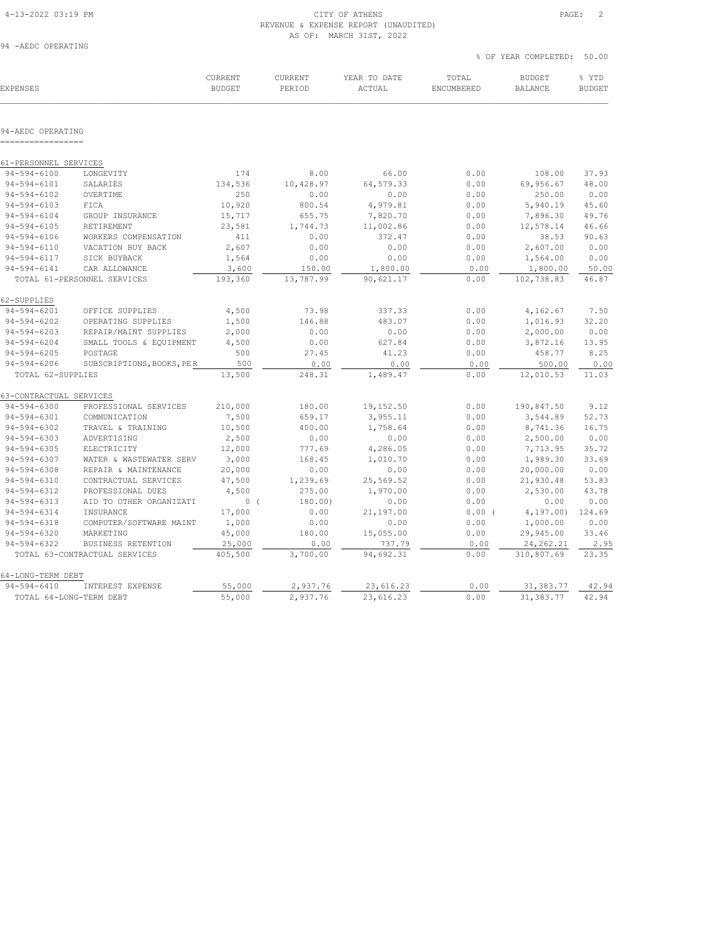#### 4-13-2022 03:19 PM CITY OF ATHENS PAGE: 2 REVENUE & EXPENSE REPORT (UNAUDITED) AS OF: MARCH 31ST, 2022

94 -AEDC OPERATING

|                               |                               |                          |                          |                        |                     | % OF YEAR COMPLETED:            | 50.00                  |  |
|-------------------------------|-------------------------------|--------------------------|--------------------------|------------------------|---------------------|---------------------------------|------------------------|--|
| <b>EXPENSES</b>               |                               | CURRENT<br><b>BUDGET</b> | <b>CURRENT</b><br>PERIOD | YEAR TO DATE<br>ACTUAL | TOTAL<br>ENCUMBERED | <b>BUDGET</b><br><b>BALANCE</b> | % YTD<br><b>BUDGET</b> |  |
|                               |                               |                          |                          |                        |                     |                                 |                        |  |
| 94-AEDC OPERATING<br>======== |                               |                          |                          |                        |                     |                                 |                        |  |
| 61-PERSONNEL SERVICES         |                               |                          |                          |                        |                     |                                 |                        |  |
| $94 - 594 - 6100$             | LONGEVITY                     | 174                      | 8.00                     | 66.00                  | 0.00                | 108.00                          | 37.93                  |  |
| $94 - 594 - 6101$             | SALARIES                      | 134,536                  | 10,428.97                | 64,579.33              | 0.00                | 69,956.67                       | 48.00                  |  |
| $94 - 594 - 6102$             | OVERTIME                      | 250                      | 0.00                     | 0.00                   | 0.00                | 250.00                          | 0.00                   |  |
| $94 - 594 - 6103$             | FICA                          | 10,920                   | 800.54                   | 4,979.81               | 0.00                | 5,940.19                        | 45.60                  |  |
| $94 - 594 - 6104$             | GROUP INSURANCE               | 15,717                   | 655.75                   | 7,820.70               | 0.00                | 7,896.30                        | 49.76                  |  |
| $94 - 594 - 6105$             | RETIREMENT                    | 23,581                   | 1,744.73                 | 11,002.86              | 0.00                | 12,578.14                       | 46.66                  |  |
| $94 - 594 - 6106$             | WORKERS COMPENSATION          | 411                      | 0.00                     | 372.47                 | 0.00                | 38.53                           | 90.63                  |  |
| $94 - 594 - 6110$             | VACATION BUY BACK             | 2,607                    | 0.00                     | 0.00                   | 0.00                | 2,607.00                        | 0.00                   |  |
| $94 - 594 - 6117$             | SICK BUYBACK                  | 1,564                    | 0.00                     | 0.00                   | 0.00                | 1,564.00                        | 0.00                   |  |
| $94 - 594 - 6141$             | CAR ALLOWANCE                 | 3,600                    | 150.00                   | 1,800.00               | 0.00                | 1,800.00                        | 50.00                  |  |
|                               | TOTAL 61-PERSONNEL SERVICES   | 193,360                  | 13,787.99                | 90,621.17              | 0.00                | 102,738.83                      | 46.87                  |  |
| 62-SUPPLIES                   |                               |                          |                          |                        |                     |                                 |                        |  |
| $94 - 594 - 6201$             | OFFICE SUPPLIES               | 4,500                    | 73.98                    | 337.33                 | 0.00                | 4,162.67                        | 7.50                   |  |
| $94 - 594 - 6202$             | OPERATING SUPPLIES            | 1,500                    | 146.88                   | 483.07                 | 0.00                | 1,016.93                        | 32.20                  |  |
| $94 - 594 - 6203$             | REPAIR/MAINT SUPPLIES         | 2,000                    | 0.00                     | 0.00                   | 0.00                | 2,000.00                        | 0.00                   |  |
| $94 - 594 - 6204$             | SMALL TOOLS & EQUIPMENT       | 4,500                    | 0.00                     | 627.84                 | 0.00                | 3,872.16                        | 13.95                  |  |
| $94 - 594 - 6205$             | POSTAGE                       | 500                      | 27.45                    | 41.23                  | 0.00                | 458.77                          | 8.25                   |  |
| $94 - 594 - 6206$             | SUBSCRIPTIONS, BOOKS, PER     | 500                      | 0.00                     | 0.00                   | 0.00                | 500.00                          | 0.00                   |  |
| TOTAL 62-SUPPLIES             |                               | 13,500                   | 248.31                   | 1,489.47               | 0.00                | 12,010.53                       | 11.03                  |  |
| 63-CONTRACTUAL SERVICES       |                               |                          |                          |                        |                     |                                 |                        |  |
| $94 - 594 - 6300$             | PROFESSIONAL SERVICES         | 210,000                  | 180.00                   | 19,152.50              | 0.00                | 190,847.50                      | 9.12                   |  |
| $94 - 594 - 6301$             | COMMUNICATION                 | 7,500                    | 659.17                   | 3,955.11               | 0.00                | 3,544.89                        | 52.73                  |  |
| $94 - 594 - 6302$             | TRAVEL & TRAINING             | 10,500                   | 400.00                   | 1,758.64               | 0.00                | 8,741.36                        | 16.75                  |  |
| $94 - 594 - 6303$             | ADVERTISING                   | 2,500                    | 0.00                     | 0.00                   | 0.00                | 2,500.00                        | 0.00                   |  |
| $94 - 594 - 6305$             | ELECTRICITY                   | 12,000                   | 777.69                   | 4,286.05               | 0.00                | 7,713.95                        | 35.72                  |  |
| $94 - 594 - 6307$             | WATER & WASTEWATER SERV       | 3,000                    | 168.45                   | 1,010.70               | 0.00                | 1,989.30                        | 33.69                  |  |
| $94 - 594 - 6308$             | REPAIR & MAINTENANCE          | 20,000                   | 0.00                     | 0.00                   | 0.00                | 20,000.00                       | 0.00                   |  |
| $94 - 594 - 6310$             | CONTRACTUAL SERVICES          | 47,500                   | 1,239.69                 | 25,569.52              | 0.00                | 21,930.48                       | 53.83                  |  |
| $94 - 594 - 6312$             | PROFESSIONAL DUES             | 4,500                    | 275.00                   | 1,970.00               | 0.00                | 2,530.00                        | 43.78                  |  |
| $94 - 594 - 6313$             | AID TO OTHER ORGANIZATI       | 0(                       | 180.00)                  | 0.00                   | 0.00                | 0.00                            | 0.00                   |  |
| $94 - 594 - 6314$             | INSURANCE                     | 17,000                   | 0.00                     | 21,197.00              | 0.00(               | 4, 197.00                       | 124.69                 |  |
| $94 - 594 - 6318$             | COMPUTER/SOFTWARE MAINT       | 1,000                    | 0.00                     | 0.00                   | 0.00                | 1,000.00                        | 0.00                   |  |
| $94 - 594 - 6320$             | MARKETING                     | 45,000                   | 180.00                   | 15,055.00              | 0.00                | 29,945.00                       | 33.46                  |  |
| $94 - 594 - 6322$             | BUSINESS RETENTION            | 25,000                   | 0.00                     | 737.79                 | 0.00                | 24, 262.21                      | 2.95                   |  |
|                               | TOTAL 63-CONTRACTUAL SERVICES | 405,500                  | 3,700.00                 | 94,692.31              | 0.00                | 310,807.69                      | 23.35                  |  |
| 64-LONG-TERM DEBT             |                               |                          |                          |                        |                     |                                 |                        |  |
| $94 - 594 - 6410$             | INTEREST EXPENSE              | 55,000                   | 2,937.76                 | 23,616.23              | 0.00                | 31,383.77                       | 42.94                  |  |
| TOTAL 64-LONG-TERM DEBT       |                               | 55,000                   | 2,937.76                 | 23,616.23              | 0.00                | 31, 383.77                      | 42.94                  |  |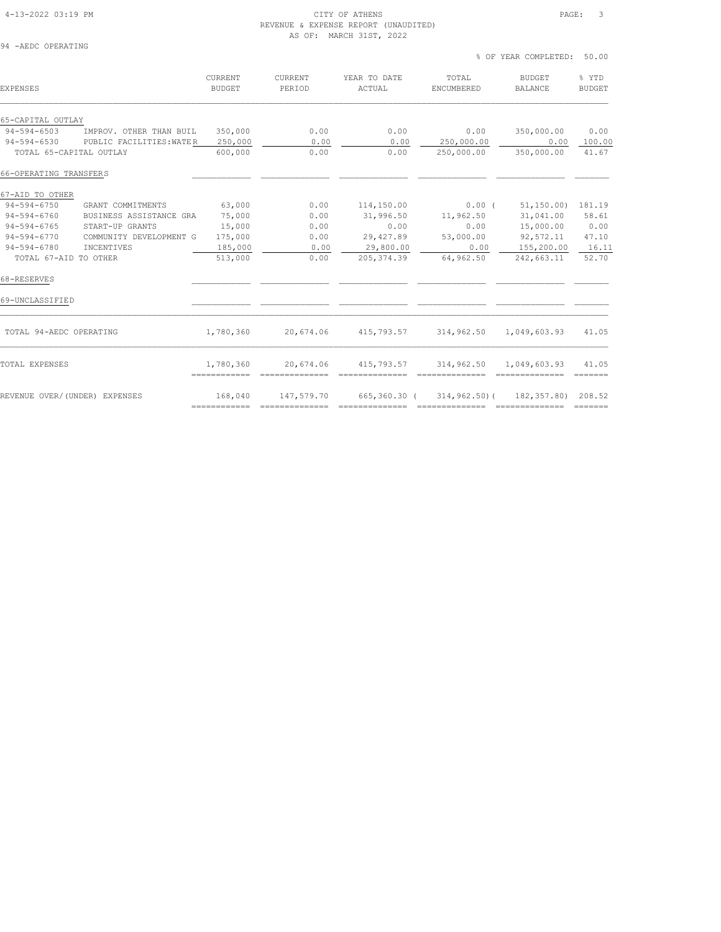#### 4-13-2022 03:19 PM CITY OF ATHENS PAGE: 3 REVENUE & EXPENSE REPORT (UNAUDITED) AS OF: MARCH 31ST, 2022

% OF YEAR COMPLETED: 50.00

| 94 | -AEDC OPERATING |  |
|----|-----------------|--|
|    |                 |  |

| <b>EXPENSES</b>               |                          | <b>CURRENT</b><br><b>BUDGET</b> | CURRENT<br>PERIOD | YEAR TO DATE<br>ACTUAL | TOTAL<br>ENCUMBERED                                | <b>BUDGET</b><br><b>BALANCE</b> | % YTD<br><b>BUDGET</b>                                                    |
|-------------------------------|--------------------------|---------------------------------|-------------------|------------------------|----------------------------------------------------|---------------------------------|---------------------------------------------------------------------------|
| 65-CAPITAL OUTLAY             |                          |                                 |                   |                        |                                                    |                                 |                                                                           |
| $94 - 594 - 6503$             | IMPROV. OTHER THAN BUIL  | 350,000                         | 0.00              | 0.00                   | 0.00                                               | 350,000.00                      | 0.00                                                                      |
| $94 - 594 - 6530$             | PUBLIC FACILITIES: WATER | 250,000                         | 0.00              | 0.00                   | 250,000.00                                         | 0.00                            | 100.00                                                                    |
| TOTAL 65-CAPITAL OUTLAY       |                          | 600,000                         | 0.00              | 0.00                   | 250,000.00                                         | 350,000.00                      | 41.67                                                                     |
| 66-OPERATING TRANSFERS        |                          |                                 |                   |                        |                                                    |                                 |                                                                           |
| 67-AID TO OTHER               |                          |                                 |                   |                        |                                                    |                                 |                                                                           |
| 94-594-6750                   | GRANT COMMITMENTS        | 63,000                          | 0.00              | 114,150.00             | $0.00$ (                                           | 51,150.00) 181.19               |                                                                           |
| 94-594-6760                   | BUSINESS ASSISTANCE GRA  | 75,000                          | 0.00              | 31,996.50              | 11,962.50                                          | 31,041.00                       | 58.61                                                                     |
| $94 - 594 - 6765$             | START-UP GRANTS          | 15,000                          | 0.00              | 0.00                   | 0.00                                               | 15,000.00                       | 0.00                                                                      |
| $94 - 594 - 6770$             | COMMUNITY DEVELOPMENT G  | 175,000                         | 0.00              | 29,427.89              | 53,000.00                                          | 92,572.11                       | 47.10                                                                     |
| $94 - 594 - 6780$             | INCENTIVES               | 185,000                         | 0.00              | 29,800.00              | 0.00                                               | 155,200.00 16.11                |                                                                           |
| TOTAL 67-AID TO OTHER         |                          | 513,000                         | 0.00              | 205, 374.39            | 64,962.50                                          | 242,663.11                      | 52.70                                                                     |
| 68-RESERVES                   |                          |                                 |                   |                        |                                                    |                                 |                                                                           |
| 69-UNCLASSIFIED               |                          |                                 |                   |                        |                                                    |                                 |                                                                           |
| TOTAL 94-AEDC OPERATING       |                          | 1,780,360                       | 20,674.06         |                        | 415,793.57 314,962.50                              | 1,049,603.93                    | 41.05                                                                     |
| TOTAL EXPENSES                |                          | 1,780,360<br>============       | 20,674.06         | 415,793.57             | 314,962.50                                         | 1,049,603.93                    | 41.05<br>$\qquad \qquad \equiv \equiv \equiv \equiv \equiv \equiv \equiv$ |
| REVENUE OVER/(UNDER) EXPENSES |                          | 168,040                         | 147,579.70        |                        | 665, 360, 30 (314, 962, 50) (382, 357, 80) 208, 52 |                                 |                                                                           |
|                               |                          |                                 |                   |                        |                                                    |                                 |                                                                           |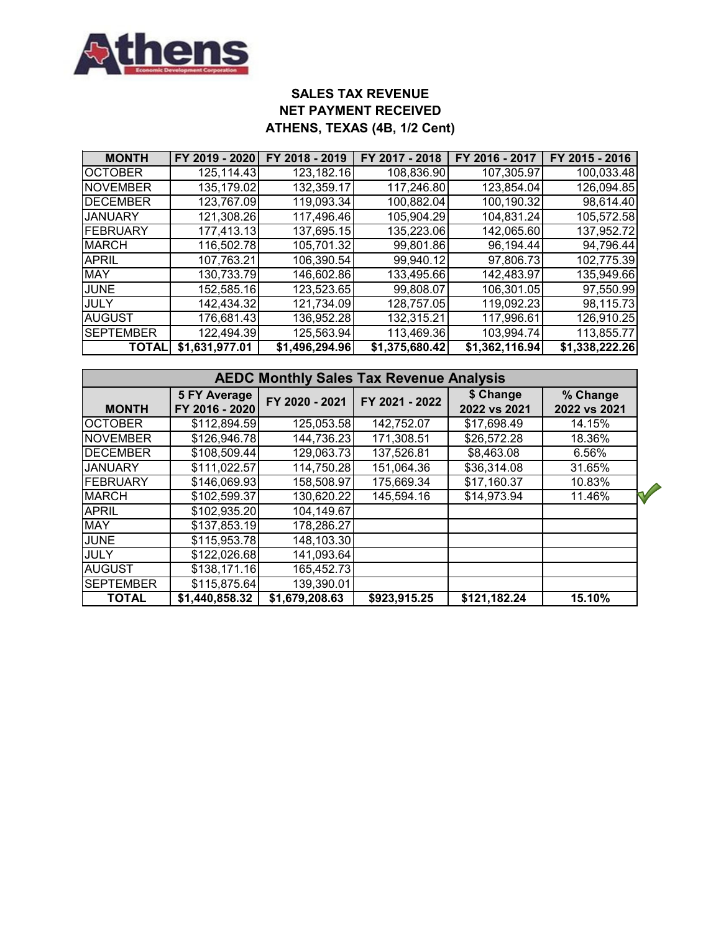

# **SALES TAX REVENUE NET PAYMENT RECEIVED ATHENS, TEXAS (4B, 1/2 Cent)**

| <b>MONTH</b>     | FY 2019 - 2020 | FY 2018 - 2019 | FY 2017 - 2018 | FY 2016 - 2017 | FY 2015 - 2016 |
|------------------|----------------|----------------|----------------|----------------|----------------|
| <b>OCTOBER</b>   | 125,114.43     | 123,182.16     | 108,836.90     | 107,305.97     | 100,033.48     |
| NOVEMBER         | 135,179.02     | 132,359.17     | 117,246.80     | 123,854.04     | 126,094.85     |
| <b>DECEMBER</b>  | 123,767.09     | 119,093.34     | 100,882.04     | 100,190.32     | 98,614.40      |
| <b>JANUARY</b>   | 121,308.26     | 117,496.46     | 105,904.29     | 104,831.24     | 105,572.58     |
| FEBRUARY         | 177,413.13     | 137,695.15     | 135,223.06     | 142,065.60     | 137,952.72     |
| <b>MARCH</b>     | 116,502.78     | 105,701.32     | 99,801.86      | 96,194.44      | 94,796.44      |
| <b>APRIL</b>     | 107,763.21     | 106,390.54     | 99,940.12      | 97,806.73      | 102,775.39     |
| <b>MAY</b>       | 130,733.79     | 146,602.86     | 133,495.66     | 142,483.97     | 135,949.66     |
| <b>JUNE</b>      | 152,585.16     | 123,523.65     | 99,808.07      | 106,301.05     | 97,550.99      |
| <b>JULY</b>      | 142,434.32     | 121,734.09     | 128,757.05     | 119,092.23     | 98,115.73      |
| <b>AUGUST</b>    | 176,681.43     | 136,952.28     | 132,315.21     | 117,996.61     | 126,910.25     |
| <b>SEPTEMBER</b> | 122,494.39     | 125,563.94     | 113,469.36     | 103,994.74     | 113,855.77     |
| <b>TOTAI</b>     | \$1,631,977.01 | \$1,496,294.96 | \$1,375,680.42 | \$1,362,116.94 | \$1,338,222.26 |

|                  | <b>AEDC Monthly Sales Tax Revenue Analysis</b> |                |                |                           |                          |  |  |  |  |  |  |
|------------------|------------------------------------------------|----------------|----------------|---------------------------|--------------------------|--|--|--|--|--|--|
| <b>MONTH</b>     | <b>5 FY Average</b><br>FY 2016 - 2020          | FY 2020 - 2021 | FY 2021 - 2022 | \$ Change<br>2022 vs 2021 | % Change<br>2022 vs 2021 |  |  |  |  |  |  |
| <b>OCTOBER</b>   | \$112,894.59                                   | 125,053.58     | 142,752.07     | \$17,698.49               | 14.15%                   |  |  |  |  |  |  |
| <b>NOVEMBER</b>  | \$126,946.78                                   | 144,736.23     | 171,308.51     | \$26,572.28               | 18.36%                   |  |  |  |  |  |  |
| <b>DECEMBER</b>  | \$108,509.44                                   | 129,063.73     | 137,526.81     | \$8,463.08                | 6.56%                    |  |  |  |  |  |  |
| <b>JANUARY</b>   | \$111,022.57                                   | 114,750.28     | 151,064.36     | \$36,314.08               | 31.65%                   |  |  |  |  |  |  |
| FEBRUARY         | \$146,069.93                                   | 158,508.97     | 175,669.34     | \$17,160.37               | 10.83%                   |  |  |  |  |  |  |
| <b>MARCH</b>     | \$102,599.37                                   | 130,620.22     | 145,594.16     | \$14,973.94               | 11.46%                   |  |  |  |  |  |  |
| <b>APRIL</b>     | \$102,935.20                                   | 104,149.67     |                |                           |                          |  |  |  |  |  |  |
| <b>MAY</b>       | \$137,853.19                                   | 178,286.27     |                |                           |                          |  |  |  |  |  |  |
| <b>JUNE</b>      | \$115,953.78                                   | 148,103.30     |                |                           |                          |  |  |  |  |  |  |
| <b>JULY</b>      | \$122,026.68                                   | 141,093.64     |                |                           |                          |  |  |  |  |  |  |
| <b>AUGUST</b>    | \$138,171.16                                   | 165,452.73     |                |                           |                          |  |  |  |  |  |  |
| <b>SEPTEMBER</b> | \$115,875.64                                   | 139,390.01     |                |                           |                          |  |  |  |  |  |  |
| <b>TOTAL</b>     | \$1,440,858.32                                 | \$1,679,208.63 | \$923,915.25   | \$121,182.24              | 15.10%                   |  |  |  |  |  |  |